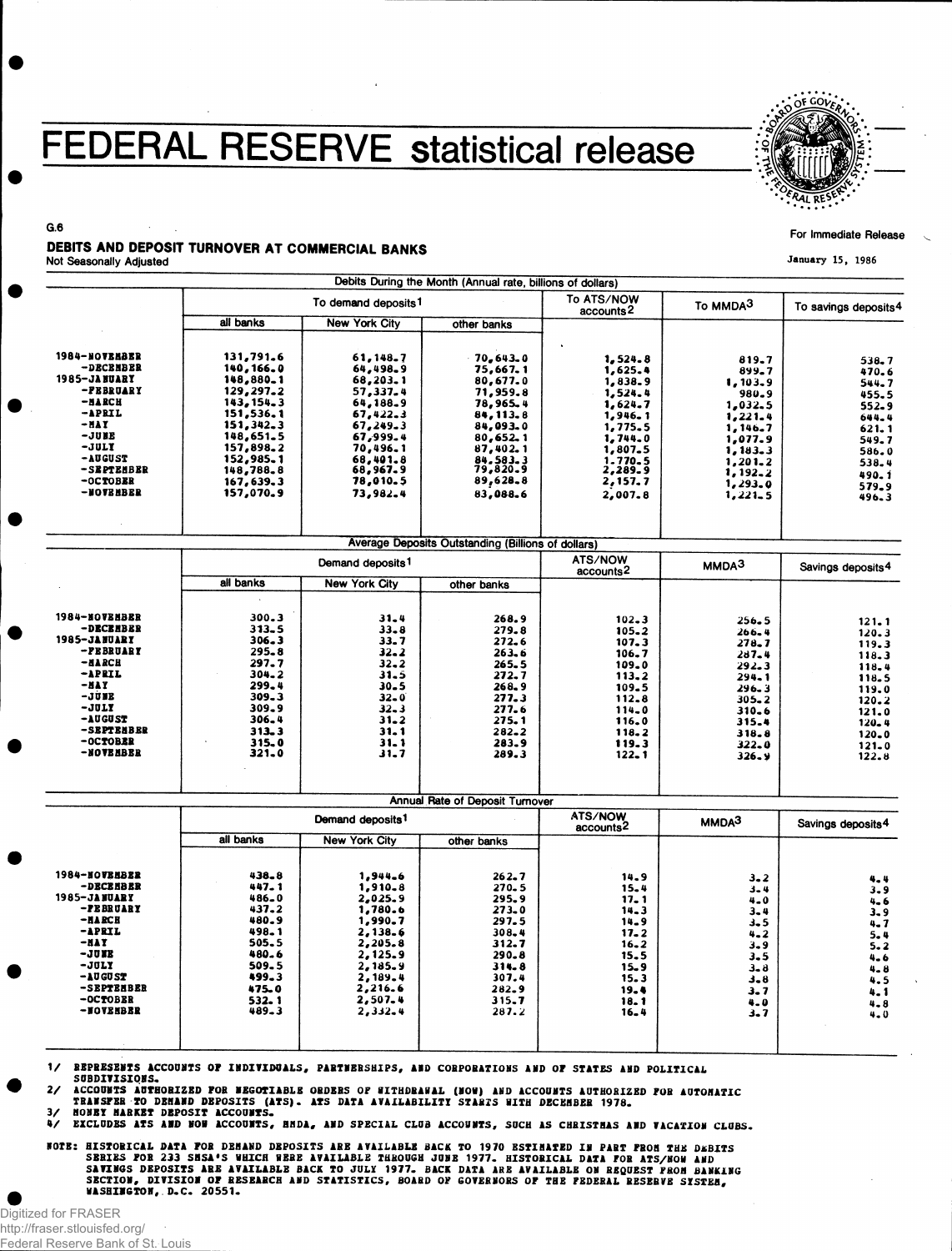## FEDERAL RESERVE statistical release



For Immediate Release

G.6 DEBITS AND DEPOSIT TURNOVER AT COMMERCIAL BANKS

Not Seasonally Adjusted

| all banks<br>131,791.6<br>140,166.0<br>148,880.1<br>129,297.2<br>143, 154, 3<br>151,536.1<br>151,342.3<br>148,651.5<br>157,898.2<br>152,985.1<br>148,788.8<br>167,639.3<br>157,070.9 | To demand deposits <sup>1</sup><br><b>New York City</b><br>61,148.7<br>64,498.9<br>68,203.1<br>57,337.4<br>64,188.9<br>67,422.3<br>67,249.3<br>67,999.4<br>70,496.1<br>68,401.8<br>68,967.9<br>78,010.5<br>73,982.4 | other banks<br>70,643.0<br>75,667.1<br>80,677.0<br>71,959.8<br>78,965.4<br>84, 113.8<br>84,093.0<br>80,652.1<br>87,402.1<br>84.583.3<br>79,820.9<br>89,628.8<br>83,088.6                                                                                            | accounts <sup>2</sup><br>1, 524.8<br>1,625.4<br>1,838.9<br>1,524.4<br>1,624.7<br>1,946.1<br>1,775.5<br>1,744.0<br>1,807.5<br>1.770.5<br>2,289.9<br>2,157.7                                       | To MMDA3<br>819.7<br>899.7<br>1,103.9<br>980.9<br>1,032.5<br>1,221.4<br>1,146.7<br>1,077.9<br>1,183.3<br>$1, 201 - 2$<br>1,192.2                                                                                                                                             | To savings deposits <sup>4</sup><br>538.7<br>470.6<br>544.7<br>455.5<br>552.9<br>644.4<br>$621 - 1$<br>549.7<br>586.0                                                                                                                              |
|--------------------------------------------------------------------------------------------------------------------------------------------------------------------------------------|---------------------------------------------------------------------------------------------------------------------------------------------------------------------------------------------------------------------|---------------------------------------------------------------------------------------------------------------------------------------------------------------------------------------------------------------------------------------------------------------------|--------------------------------------------------------------------------------------------------------------------------------------------------------------------------------------------------|------------------------------------------------------------------------------------------------------------------------------------------------------------------------------------------------------------------------------------------------------------------------------|----------------------------------------------------------------------------------------------------------------------------------------------------------------------------------------------------------------------------------------------------|
|                                                                                                                                                                                      |                                                                                                                                                                                                                     |                                                                                                                                                                                                                                                                     |                                                                                                                                                                                                  |                                                                                                                                                                                                                                                                              |                                                                                                                                                                                                                                                    |
|                                                                                                                                                                                      |                                                                                                                                                                                                                     |                                                                                                                                                                                                                                                                     |                                                                                                                                                                                                  |                                                                                                                                                                                                                                                                              |                                                                                                                                                                                                                                                    |
|                                                                                                                                                                                      |                                                                                                                                                                                                                     |                                                                                                                                                                                                                                                                     |                                                                                                                                                                                                  |                                                                                                                                                                                                                                                                              |                                                                                                                                                                                                                                                    |
|                                                                                                                                                                                      |                                                                                                                                                                                                                     |                                                                                                                                                                                                                                                                     |                                                                                                                                                                                                  |                                                                                                                                                                                                                                                                              |                                                                                                                                                                                                                                                    |
|                                                                                                                                                                                      |                                                                                                                                                                                                                     |                                                                                                                                                                                                                                                                     |                                                                                                                                                                                                  |                                                                                                                                                                                                                                                                              |                                                                                                                                                                                                                                                    |
|                                                                                                                                                                                      |                                                                                                                                                                                                                     |                                                                                                                                                                                                                                                                     |                                                                                                                                                                                                  |                                                                                                                                                                                                                                                                              |                                                                                                                                                                                                                                                    |
|                                                                                                                                                                                      |                                                                                                                                                                                                                     |                                                                                                                                                                                                                                                                     |                                                                                                                                                                                                  |                                                                                                                                                                                                                                                                              |                                                                                                                                                                                                                                                    |
|                                                                                                                                                                                      |                                                                                                                                                                                                                     |                                                                                                                                                                                                                                                                     |                                                                                                                                                                                                  |                                                                                                                                                                                                                                                                              |                                                                                                                                                                                                                                                    |
|                                                                                                                                                                                      |                                                                                                                                                                                                                     |                                                                                                                                                                                                                                                                     |                                                                                                                                                                                                  |                                                                                                                                                                                                                                                                              |                                                                                                                                                                                                                                                    |
|                                                                                                                                                                                      |                                                                                                                                                                                                                     |                                                                                                                                                                                                                                                                     |                                                                                                                                                                                                  |                                                                                                                                                                                                                                                                              |                                                                                                                                                                                                                                                    |
|                                                                                                                                                                                      |                                                                                                                                                                                                                     |                                                                                                                                                                                                                                                                     |                                                                                                                                                                                                  |                                                                                                                                                                                                                                                                              |                                                                                                                                                                                                                                                    |
|                                                                                                                                                                                      |                                                                                                                                                                                                                     |                                                                                                                                                                                                                                                                     |                                                                                                                                                                                                  |                                                                                                                                                                                                                                                                              |                                                                                                                                                                                                                                                    |
|                                                                                                                                                                                      |                                                                                                                                                                                                                     |                                                                                                                                                                                                                                                                     |                                                                                                                                                                                                  |                                                                                                                                                                                                                                                                              | 538.4                                                                                                                                                                                                                                              |
|                                                                                                                                                                                      |                                                                                                                                                                                                                     |                                                                                                                                                                                                                                                                     |                                                                                                                                                                                                  |                                                                                                                                                                                                                                                                              | 490. i                                                                                                                                                                                                                                             |
|                                                                                                                                                                                      |                                                                                                                                                                                                                     |                                                                                                                                                                                                                                                                     |                                                                                                                                                                                                  | 1,293.0                                                                                                                                                                                                                                                                      | 579.9                                                                                                                                                                                                                                              |
|                                                                                                                                                                                      |                                                                                                                                                                                                                     |                                                                                                                                                                                                                                                                     | 2,007.8                                                                                                                                                                                          | 1,221.5                                                                                                                                                                                                                                                                      | 496.3                                                                                                                                                                                                                                              |
|                                                                                                                                                                                      |                                                                                                                                                                                                                     |                                                                                                                                                                                                                                                                     |                                                                                                                                                                                                  |                                                                                                                                                                                                                                                                              |                                                                                                                                                                                                                                                    |
|                                                                                                                                                                                      |                                                                                                                                                                                                                     | Average Deposits Outstanding (Billions of dollars)                                                                                                                                                                                                                  |                                                                                                                                                                                                  |                                                                                                                                                                                                                                                                              |                                                                                                                                                                                                                                                    |
|                                                                                                                                                                                      |                                                                                                                                                                                                                     |                                                                                                                                                                                                                                                                     | accounts <sup>2</sup>                                                                                                                                                                            | MMDA <sup>3</sup>                                                                                                                                                                                                                                                            | Savings deposits <sup>4</sup>                                                                                                                                                                                                                      |
|                                                                                                                                                                                      |                                                                                                                                                                                                                     |                                                                                                                                                                                                                                                                     |                                                                                                                                                                                                  |                                                                                                                                                                                                                                                                              |                                                                                                                                                                                                                                                    |
|                                                                                                                                                                                      |                                                                                                                                                                                                                     |                                                                                                                                                                                                                                                                     |                                                                                                                                                                                                  |                                                                                                                                                                                                                                                                              | 121.1                                                                                                                                                                                                                                              |
|                                                                                                                                                                                      |                                                                                                                                                                                                                     |                                                                                                                                                                                                                                                                     |                                                                                                                                                                                                  |                                                                                                                                                                                                                                                                              | 120.3                                                                                                                                                                                                                                              |
|                                                                                                                                                                                      |                                                                                                                                                                                                                     |                                                                                                                                                                                                                                                                     |                                                                                                                                                                                                  |                                                                                                                                                                                                                                                                              | 119.3                                                                                                                                                                                                                                              |
|                                                                                                                                                                                      |                                                                                                                                                                                                                     |                                                                                                                                                                                                                                                                     |                                                                                                                                                                                                  |                                                                                                                                                                                                                                                                              |                                                                                                                                                                                                                                                    |
|                                                                                                                                                                                      |                                                                                                                                                                                                                     |                                                                                                                                                                                                                                                                     |                                                                                                                                                                                                  |                                                                                                                                                                                                                                                                              | 118.3                                                                                                                                                                                                                                              |
|                                                                                                                                                                                      |                                                                                                                                                                                                                     |                                                                                                                                                                                                                                                                     |                                                                                                                                                                                                  |                                                                                                                                                                                                                                                                              | 118.4                                                                                                                                                                                                                                              |
|                                                                                                                                                                                      |                                                                                                                                                                                                                     |                                                                                                                                                                                                                                                                     |                                                                                                                                                                                                  |                                                                                                                                                                                                                                                                              | 118.5                                                                                                                                                                                                                                              |
|                                                                                                                                                                                      |                                                                                                                                                                                                                     |                                                                                                                                                                                                                                                                     |                                                                                                                                                                                                  |                                                                                                                                                                                                                                                                              | 119.0                                                                                                                                                                                                                                              |
|                                                                                                                                                                                      |                                                                                                                                                                                                                     |                                                                                                                                                                                                                                                                     |                                                                                                                                                                                                  |                                                                                                                                                                                                                                                                              | $120 - 2$                                                                                                                                                                                                                                          |
|                                                                                                                                                                                      |                                                                                                                                                                                                                     |                                                                                                                                                                                                                                                                     |                                                                                                                                                                                                  |                                                                                                                                                                                                                                                                              | 121.0                                                                                                                                                                                                                                              |
|                                                                                                                                                                                      |                                                                                                                                                                                                                     |                                                                                                                                                                                                                                                                     |                                                                                                                                                                                                  |                                                                                                                                                                                                                                                                              | $120 - 4$                                                                                                                                                                                                                                          |
|                                                                                                                                                                                      |                                                                                                                                                                                                                     |                                                                                                                                                                                                                                                                     |                                                                                                                                                                                                  |                                                                                                                                                                                                                                                                              | $120 - 0$                                                                                                                                                                                                                                          |
|                                                                                                                                                                                      |                                                                                                                                                                                                                     |                                                                                                                                                                                                                                                                     |                                                                                                                                                                                                  |                                                                                                                                                                                                                                                                              | $121 - 0$                                                                                                                                                                                                                                          |
|                                                                                                                                                                                      |                                                                                                                                                                                                                     |                                                                                                                                                                                                                                                                     |                                                                                                                                                                                                  |                                                                                                                                                                                                                                                                              | 122.8                                                                                                                                                                                                                                              |
|                                                                                                                                                                                      |                                                                                                                                                                                                                     |                                                                                                                                                                                                                                                                     |                                                                                                                                                                                                  |                                                                                                                                                                                                                                                                              |                                                                                                                                                                                                                                                    |
| Demand deposits <sup>1</sup>                                                                                                                                                         |                                                                                                                                                                                                                     |                                                                                                                                                                                                                                                                     | ATS/NOW                                                                                                                                                                                          | MMDA <sup>3</sup>                                                                                                                                                                                                                                                            | Savings deposits <sup>4</sup>                                                                                                                                                                                                                      |
| all banks                                                                                                                                                                            | <b>New York City</b>                                                                                                                                                                                                | other banks                                                                                                                                                                                                                                                         |                                                                                                                                                                                                  |                                                                                                                                                                                                                                                                              |                                                                                                                                                                                                                                                    |
|                                                                                                                                                                                      |                                                                                                                                                                                                                     |                                                                                                                                                                                                                                                                     |                                                                                                                                                                                                  |                                                                                                                                                                                                                                                                              |                                                                                                                                                                                                                                                    |
| 438.8                                                                                                                                                                                | 1,944.6                                                                                                                                                                                                             | $262 - 7$                                                                                                                                                                                                                                                           | 14.9                                                                                                                                                                                             | $3 - 2$                                                                                                                                                                                                                                                                      | 4.4                                                                                                                                                                                                                                                |
| 447.1                                                                                                                                                                                | 1,910.8                                                                                                                                                                                                             | 270.5                                                                                                                                                                                                                                                               | $15 - 4$                                                                                                                                                                                         |                                                                                                                                                                                                                                                                              | 3.9                                                                                                                                                                                                                                                |
| 486.0                                                                                                                                                                                | 2,025.9                                                                                                                                                                                                             | 295.9                                                                                                                                                                                                                                                               | 17.1                                                                                                                                                                                             | 4.0                                                                                                                                                                                                                                                                          | $4 - 6$                                                                                                                                                                                                                                            |
| 437.2                                                                                                                                                                                | 1,780.6                                                                                                                                                                                                             | $273 - 0$                                                                                                                                                                                                                                                           | 14.3                                                                                                                                                                                             |                                                                                                                                                                                                                                                                              | $3 - 9$                                                                                                                                                                                                                                            |
| 480.9                                                                                                                                                                                | 1,990.7                                                                                                                                                                                                             | 297.5                                                                                                                                                                                                                                                               | $14 - 9$                                                                                                                                                                                         |                                                                                                                                                                                                                                                                              | $4 - 7$                                                                                                                                                                                                                                            |
| 498.1                                                                                                                                                                                | 2,138.6                                                                                                                                                                                                             | $308 - 4$                                                                                                                                                                                                                                                           |                                                                                                                                                                                                  |                                                                                                                                                                                                                                                                              | 5.4                                                                                                                                                                                                                                                |
| 505.5                                                                                                                                                                                | 2,205.8                                                                                                                                                                                                             |                                                                                                                                                                                                                                                                     |                                                                                                                                                                                                  |                                                                                                                                                                                                                                                                              | $5 - 2$                                                                                                                                                                                                                                            |
| 480.6                                                                                                                                                                                |                                                                                                                                                                                                                     |                                                                                                                                                                                                                                                                     |                                                                                                                                                                                                  |                                                                                                                                                                                                                                                                              | $4 - 6$                                                                                                                                                                                                                                            |
|                                                                                                                                                                                      |                                                                                                                                                                                                                     |                                                                                                                                                                                                                                                                     |                                                                                                                                                                                                  |                                                                                                                                                                                                                                                                              |                                                                                                                                                                                                                                                    |
|                                                                                                                                                                                      |                                                                                                                                                                                                                     |                                                                                                                                                                                                                                                                     |                                                                                                                                                                                                  |                                                                                                                                                                                                                                                                              | $4 - 8$                                                                                                                                                                                                                                            |
|                                                                                                                                                                                      |                                                                                                                                                                                                                     |                                                                                                                                                                                                                                                                     |                                                                                                                                                                                                  |                                                                                                                                                                                                                                                                              | 4.5                                                                                                                                                                                                                                                |
|                                                                                                                                                                                      |                                                                                                                                                                                                                     |                                                                                                                                                                                                                                                                     |                                                                                                                                                                                                  |                                                                                                                                                                                                                                                                              | 4.1                                                                                                                                                                                                                                                |
|                                                                                                                                                                                      |                                                                                                                                                                                                                     |                                                                                                                                                                                                                                                                     |                                                                                                                                                                                                  |                                                                                                                                                                                                                                                                              | $4 - 8$                                                                                                                                                                                                                                            |
|                                                                                                                                                                                      |                                                                                                                                                                                                                     |                                                                                                                                                                                                                                                                     |                                                                                                                                                                                                  |                                                                                                                                                                                                                                                                              | 4.0                                                                                                                                                                                                                                                |
|                                                                                                                                                                                      | all banks<br>$300 - 3$<br>$313 - 5$<br>306.3<br>$295 - 8$<br>297.7<br>$304 - 2$<br>299.4<br>$309 - 3$<br>309.9<br>306.4<br>313,3<br>$315 - 0$<br>321.0<br>509.5<br>499.3<br>475.0<br>532.1<br>489.3                 | Demand deposits <sup>1</sup><br>New York City<br>$31 - 4$<br>$33 - 8$<br>$33 - 7$<br>$32 - 2$<br>$32 - 2$<br>31.5<br>$30 - 5$<br>$32 - 0$<br>$32 - 3$<br>$31 - 2$<br>$31 - 1$<br>$31 - 1$<br>31.7<br>2,125.9<br>2,185.9<br>2,189.4<br>2,216.6<br>2,507.4<br>2,332.4 | other banks<br>268.9<br>279.8<br>272.6<br>263.6<br>265.5<br>272.7<br>268.9<br>277.3<br>277.6<br>275. 1<br>282.2<br>283.9<br>289.3<br>312.7<br>290.8<br>314.8<br>307.4<br>282.9<br>315.7<br>287.2 | ATS/NOW<br>$102 - 3$<br>105.2<br>107.3<br>106.7<br>109.0<br>113.2<br>109.5<br>112.8<br>114.0<br>116.0<br>118.2<br>119.3<br>$122 - 1$<br>Annual Rate of Deposit Turnover<br>accounts <sup>2</sup><br>$17 - 2$<br>$16 - 2$<br>15.5<br>$15 - 9$<br>15.3<br>19.4<br>18.1<br>16.4 | 256.5<br>266.4<br>278.7<br>$287 - 4$<br>292.3<br>$294 - 1$<br>$296 - 3$<br>$305 - 2$<br>$310 - 6$<br>315.4<br>318.8<br>$322 - 0$<br>326.9<br>$3 - 4$<br>3.4<br>$3 - 5$<br>$4 - 2$<br>$3 - 9$<br>$3 - 5$<br>$3 - 8$<br>$3 - 8$<br>3.7<br>4.0<br>3.7 |

1/ REPRESENTS ACCOUNTS OF INDIVIDUALS, PARTNERSHIPS, AND CORPORATIONS AND OF STATES AND POLITICAL<br>SUBDIVISIONS.

SUBDIVISIONS.<br>2/ ACCOUNTS AUTHORIZED FOR NEGOTIABLE ORDERS OF SITHDRAWAL (NOW) AND ACCOUNTS AUTHORIZED FOR AUTOMATIC<br>TRANSFER TO DEMAND DEPOSITS (ATS). ATS DATA AVAILABILITY STARTS WITH DECEMBER 1978.<br>3/ MONEY MARKET DEPOS

WOTE: HISTORICAL DATA FOR DEMAND DEPOSITS ARE AVAILABLE BACK TO 1970 ESTIMATED IN PART FROM THE DEBITS<br>SENIES FOR 233 SMSA'S WHICH WERE AVAILABLE THROUGH JUBE 1977. HISTORICAL DATA FOR ATS/NOW AND<br>SAVINGS DEPOSITS ARE AVAI